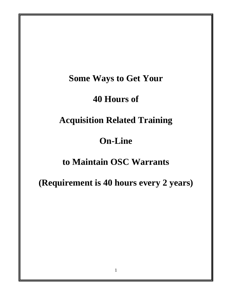# **Some Ways to Get Your**

# **40 Hours of**

# **Acquisition Related Training**

# **On-Line**

# **to Maintain OSC Warrants**

**(Requirement is 40 hours every 2 years)**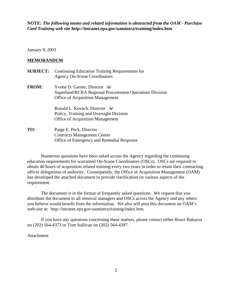**NOTE:** *The following memo and related information is abstracted from the OAM - Purchase Card Training web site* **http://intranet.epa.gov/oamintra/training/index.htm**

January 9, 2003

#### **MEMORANDUM**

**SUBJECT:** Continuing Education Training Requirements for Agency On-Scene Coordinators **FROM:** Yvette D. Garner, Director **/s/** Superfund/RCRA Regional Procurement Operations Division Office of Acquisition Management Ronald L. Kovach, Director **/s/** Policy, Training and Oversight Division Office of Acquisition Management **TO:** Paige E. Peck, Director Contracts Management Center Office of Emergency and Remedial Response

Numerous questions have been asked across the Agency regarding the continuing education requirements for warranted On-Scene Coordinators (OSCs). OSCs are required to obtain 40 hours of acquisition related training every two years in order to retain their contracting officer delegations of authority. Consequently, the Office of Acquisition Management (OAM) has developed the attached document to provide clarification on various aspects of the requirement.

The document is in the format of frequently asked questions. We request that you distribute the document to all removal managers and OSCs across the Agency and any others you believe would benefit from the information. We also will post this document on OAM's web-site at: http://intranet.epa.gov/oamintra/training/index.htm.

If you have any questions concerning these matters, please contact either Bruce Bakaysa on (202) 564-4373 or Tom Sullivan on (202) 564-4397.

#### Attachment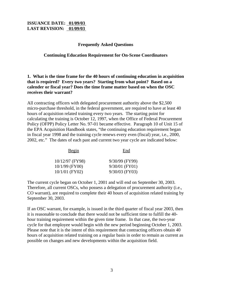#### **Frequently Asked Questions**

#### **Continuing Education Requirement for On-Scene Coordinators**

## **1. What is the time frame for the 40 hours of continuing education in acquisition that is required? Every two years? Starting from what point? Based on a calender or fiscal year? Does the time frame matter based on when the OSC receives their warrant?**

All contracting officers with delegated procurement authority above the \$2,500 micro-purchase threshold, in the federal government, are required to have at least 40 hours of acquisition related training every two years. The starting point for calculating the training is October 12, 1997, when the Office of Federal Procurement Policy (OFPP) Policy Letter No. 97-01 became effective. Paragraph 10 of Unit 15 of the EPA Acquisition Handbook states, "the continuing education requirement began in fiscal year 1998 and the training cycle renews every even (fiscal) year, i.e., 2000, 2002, etc." The dates of each past and current two year cycle are indicated below:

| <u>Begin</u>     | End              |  |
|------------------|------------------|--|
| 10/12/97 (FY98)  | 9/30/99 (FY99)   |  |
| $10/1/99$ (FY00) | $9/30/01$ (FY01) |  |
| $10/1/01$ (FY02) | $9/30/03$ (FY03) |  |

The current cycle began on October 1, 2001 and will end on September 30, 2003. Therefore, all current OSCs, who possess a delegation of procurement authority (i.e., CO warrant), are required to complete their 40 hours of acquisition related training by September 30, 2003.

If an OSC warrant, for example, is issued in the third quarter of fiscal year 2003, then it is reasonable to conclude that there would not be sufficient time to fulfill the 40 hour training requirement within the given time frame. In that case, the two-year cycle for that employee would begin with the new period beginning October 1, 2003. Please note that it is the intent of this requirement that contracting officers obtain 40 hours of acquisition related training on a regular basis in order to remain as current as possible on changes and new developments within the acquisition field.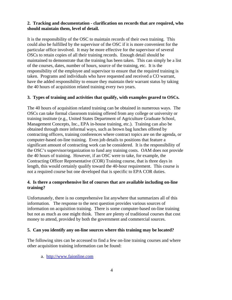## **2. Tracking and documentation - clarification on records that are required, who should maintain them, level of detail.**

It is the responsibility of the OSC to maintain records of their own training. This could also be fulfilled by the supervisor of the OSC if it is more convenient for the particular office involved. It may be more effective for the supervisor of several OSCs to retain copies of all their training records. Enough detail should be maintained to demonstrate that the training has been taken. This can simply be a list of the courses, dates, number of hours, source of the training, etc. It is the responsibility of the employee and supervisor to ensure that the required training is taken. Programs and individuals who have requested and received a CO warrant, have the added responsibility to ensure they maintain their warrant status by taking the 40 hours of acquisition related training every two years.

## **3. Types of training and activities that qualify, with examples geared to OSCs.**

The 40 hours of acquisition related training can be obtained in numerous ways. The OSCs can take formal classroom training offered from any college or university or training institute (e.g., United States Department of Agriculture Graduate School, Management Concepts, Inc., EPA in-house training, etc.). Training can also be obtained through more informal ways, such as brown bag lunches offered by contracting officers, training conferences where contract topics are on the agenda, or computer-based on-line training. Even job details to positions that feature a significant amount of contracting work can be considered. It is the responsibility of the OSC's supervisor/organization to fund any training costs. OAM does not provide the 40 hours of training. However, if an OSC were to take, for example, the Contracting Officer Representative (COR) Training course, that is three days in length, this would certainly qualify toward the 40-hour requirement. This course is not a required course but one developed that is specific to EPA COR duties.

## **4. Is there a comprehensive list of courses that are available including on-line training?**

Unfortunately, there is no comprehensive list anywhere that summarizes all of this information. The response to the next question provides various sources of information on acquisition training. There is some computer-based on-line training but not as much as one might think. There are plenty of traditional courses that cost money to attend, provided by both the government and commercial sources.

#### **5. Can you identify any on-line sources where this training may be located?**

The following sites can be accessed to find a few on-line training courses and where other acquisition training information can be found:

a. http://www.faionline.com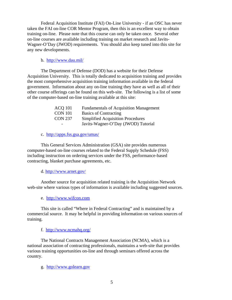Federal Acquisition Institute (FAI) On-Line University - if an OSC has never taken the FAI on-line COR Mentor Program, then this is an excellent way to obtain training on-line. Please note that this course can only be taken once. Several other on-line courses are available including training on market research and Javits-Wagner-O'Day (JWOD) requirements. You should also keep tuned into this site for any new developments.

#### b. http://www.dau.mil/

The Department of Defense (DOD) has a website for their Defense Acquisition University. This is totally dedicated to acquisition training and provides the most comprehensive acquisition training information available in the federal government. Information about any on-line training they have as well as all of their other course offerings can be found on this web-site. The following is a list of some of the computer-based on-line training available at this site:

| <b>ACO</b> 101 | <b>Fundamentals of Acquisition Management</b> |
|----------------|-----------------------------------------------|
| <b>CON 101</b> | <b>Basics of Contracting</b>                  |
| <b>CON 237</b> | <b>Simplified Acquisition Procedures</b>      |
|                | Javits-Wagner-O'Day (JWOD) Tutorial           |

c. http://apps.fss.gsa.gov/umas/

This General Services Administration (GSA) site provides numerous computer-based on-line courses related to the Federal Supply Schedule (FSS) including instruction on ordering services under the FSS, performance-based contracting, blanket purchase agreements, etc.

#### d. http://www.arnet.gov/

Another source for acquisition related training is the Acquisition Network web-site where various types of information is available including suggested sources.

e. http://www.wifcon.com

This site is called "Where in Federal Contracting" and is maintained by a commercial source. It may be helpful in providing information on various sources of training.

f. http://www.ncmahq.org/

The National Contracts Management Association (NCMA), which is a national association of contracting professionals, maintains a web-site that provides various training opportunities on-line and through seminars offered across the country.

g. http://www.golearn.gov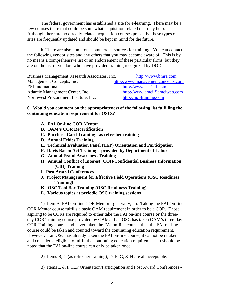The federal government has established a site for e-learning. There may be a few courses there that could be somewhat acquisition related that may help. Although there are no directly related acquisition courses presently, these types of sites are frequently updated and should be kept in mind for the future.

h. There are also numerous commercial sources for training. You can contact the following vendor sites and any others that you may become aware of. This is by no means a comprehensive list or an endorsement of these particular firms, but they are on the list of vendors who have provided training recognized by DOD.

Business Management Research Associates, Inc. http://www.bmra.com Management Concepts, Inc. http://www.managementconcepts.com ESI International http://www.esi-intl.com Atlantic Management Center, Inc. http://www.amci@amciweb.com Northwest Procurement Institute, Inc. http://npi-training.com

#### **6. Would you comment on the appropriateness of the following list fulfilling the continuing education requirement for OSCs?**

- **A. FAI On-line COR Mentor**
- **B. OAM's COR Recertification**
- **C. Purchase Card Training as refresher training**
- **D. Annual Ethics Training**
- **E. Technical Evaluation Panel (TEP) Orientation and Participation**
- **F. Davis Bacon Act Training provided by Department of Labor**
- **G. Annual Fraud Awareness Training**
- **H. Annual Conflict of Interest (COI)/Confidential Business Information (CBI) Training**
- **I. Post Award Conferences**
- **J. Project Management for Effective Field Operations (OSC Readiness Training)**
- **K. OSC Tool Box Training (OSC Readiness Training)**
- **L. Various topics at periodic OSC training sessions**

1) Item A, FAI On-line COR Mentor - generally, no. Taking the FAI On-line COR Mentor course fulfills a basic OAM requirement in order to be a COR. Those aspiring to be CORs are required to either take the FAI on-line course **or** the threeday COR Training course provided by OAM. If an OSC has taken OAM's three-day COR Training course and never taken the FAI on-line course, then the FAI on-line course could be taken and counted toward the continuing education requirement. However, if an OSC has already taken the FAI on-line course, it cannot be retaken and considered eligible to fulfill the continuing education requirement. It should be noted that the FAI on-line course can only be taken once.

- 2) Items B, C (as refresher training), D, F, G, & H are all acceptable.
- 3) Items E & I, TEP Orientation/Participation and Post Award Conferences -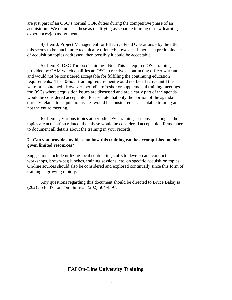are just part of an OSC's normal COR duties during the competitive phase of an acquisition. We do not see these as qualifying as separate training or new learning experiences/job assignments.

4) Item J, Project Management for Effective Field Operations - by the title, this seems to be much more technically oriented; however, if there is a predominance of acquisition topics addressed, then possibly it could be acceptable.

5) Item K, OSC Toolbox Training - No. This is required OSC training provided by OAM which qualifies an OSC to receive a contracting officer warrant and would not be considered acceptable for fulfilling the continuing education requirements. The 40-hour training requirement would not be effective until the warrant is obtained. However, periodic refresher or supplemental training meetings for OSCs where acquisition issues are discussed and are clearly part of the agenda would be considered acceptable. Please note that only the portion of the agenda directly related to acquisition issues would be considered as acceptable training and not the entire meeting.

6) Item L, Various topics at periodic OSC training sessions - as long as the topics are acquisition related, then these would be considered acceptable. Remember to document all details about the training in your records.

## **7. Can you provide any ideas on how this training can be accomplished on-site given limited resources?**

Suggestions include utilizing local contracting staffs to develop and conduct workshops, brown-bag lunches, training sessions, etc. on specific acquisition topics. On-line sources should also be considered and explored continually since this form of training is growing rapidly.

Any questions regarding this document should be directed to Bruce Bakaysa (202) 564-4373 or Tom Sullivan (202) 564-4397.

# **FAI On-Line University Training**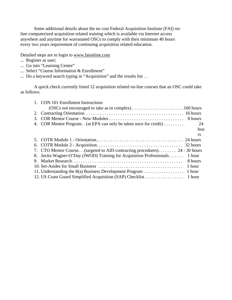Some additional details about the no cost Federal Acquisition Institute (FAI) online computerized acquisition related training which is available via Internet access anywhere and anytime for warranated OSCs to comply with their minimum 40 hours every two years requirement of continuing acquisition related education.

Detailed steps are to login to www.faionline.com

- ... Register as user;
- ... Go into "Learning Center"
- ... Select "Course Information & Enrollment"
- ... Do a keyword search typing in "Acquisition" and the results list . .

A quick check currently listed 12 acquisition related on-line courses that an OSC could take as follows:

|    | 1. CON 101 Enrollment Instructions                                         |           |
|----|----------------------------------------------------------------------------|-----------|
|    |                                                                            |           |
| 2. |                                                                            |           |
| 3. |                                                                            |           |
| 4. | COR Mentor Program. . (at EPA can only be taken once for credit)           | 24        |
|    |                                                                            | hou       |
|    |                                                                            | <b>rs</b> |
|    |                                                                            |           |
|    |                                                                            |           |
|    | 7. CTO Mentor Course(targeted to AID contracting procedures) 24 - 30 hours |           |
| 8. | Javits-Wagner-O'Day (JWOD) Training for Acquisition Professionals          | 1 hour    |
| 9. |                                                                            | 8 hours   |
|    |                                                                            | 1 hour    |
|    | 11. Understanding the 8(a) Business Development Program 1 hour             |           |
|    |                                                                            | 1 hour    |
|    |                                                                            |           |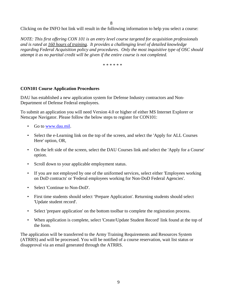8

Clicking on the INFO hot link will result in the following information to help you select a course:

*NOTE: This first offering CON 101 is an entry level course targeted for acquisition professionals and is rated at 160 hours of training. It provides a challenging level of detailed knowledge regarding Federal Acquisition policy and procedures. Only the most inquisitive type of OSC should attempt it as no partital credit will be given if the entire course is not completed.*

\* \* \* \* \* \*

#### **CON101 Course Application Procedures**

DAU has established a new application system for Defense Industry contractors and Non-Department of Defense Federal employees.

To submit an application you will need Version 4.0 or higher of either MS Internet Explorer or Netscape Navigator. Please follow the below steps to register for CON101:

- Go to www.dau.mil.
- Select the e-Learning link on the top of the screen, and select the 'Apply for ALL Courses Here' option, OR,
- On the left side of the screen, select the DAU Courses link and select the 'Apply for a Course' option.
- Scroll down to your applicable employment status.
- If you are not employed by one of the uniformed services, select either 'Employees working on DoD contracts' or 'Federal employees working for Non-DoD Federal Agencies'.
- Select 'Continue to Non-DoD'.
- First time students should select 'Prepare Application'. Returning students should select 'Update student record'.
- Select 'prepare application' on the bottom toolbar to complete the registration process.
- When application is complete, select 'Create/Update Student Record' link found at the top of the form.

The application will be transferred to the Army Training Requirements and Resources System (ATRRS) and will be processed. You will be notified of a course reservation, wait list status or disapproval via an email generated through the ATRRS.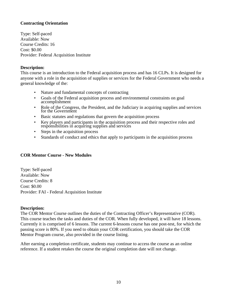## **Contracting Orientation**

Type: Self-paced Available: Now Course Credits: 16 Cost: \$0.00 Provider: Federal Acquisition Institute

## **Description:**

This course is an introduction to the Federal acquisition process and has 16 CLPs. It is designed for anyone with a role in the acquisition of supplies or services for the Federal Government who needs a general knowledge of the:

- Nature and fundamental concepts of contracting
- Goals of the Federal acquisition process and environmental constraints on goal accomplishment
- Role of the Congress, the President, and the Judiciary in acquiring supplies and services for the Government
- Basic statutes and regulations that govern the acquisition process
- Key players and participants in the acquisition process and their respective roles and responsibilities in acquiring supplies and services
- Steps in the acquisition process
- Standards of conduct and ethics that apply to participants in the acquisition process

## **COR Mentor Course - New Modules**

Type: Self-paced Available: Now Course Credits: 8 Cost: \$0.00 Provider: FAI - Federal Acquisition Institute

## **Description:**

The COR Mentor Course outlines the duties of the Contracting Officer's Representative (COR). This course teaches the tasks and duties of the COR. When fully developed, it will have 18 lessons. Currently it is comprised of 6 lessons. The current 6-lessons course has one post-test, for which the passing score is 80%. If you need to obtain your COR certification, you should take the COR Mentor Program course, also provided in the course listing.

After earning a completion certificate, students may continue to access the course as an online reference. If a student retakes the course the original completion date will not change.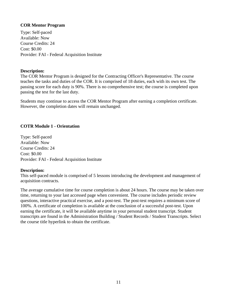## **COR Mentor Program**

Type: Self-paced Available: Now Course Credits: 24 Cost: \$0.00 Provider: FAI - Federal Acquisition Institute

## **Description:**

The COR Mentor Program is designed for the Contracting Officer's Representative. The course teaches the tasks and duties of the COR. It is comprised of 18 duties, each with its own test. The passing score for each duty is 90%. There is no comprehensive test; the course is completed upon passing the test for the last duty.

Students may continue to access the COR Mentor Program after earning a completion certificate. However, the completion dates will remain unchanged.

## **COTR Module 1 - Orientation**

Type: Self-paced Available: Now Course Credits: 24 Cost: \$0.00 Provider: FAI - Federal Acquisition Institute

#### **Description:**

This self-paced module is comprised of 5 lessons introducing the development and management of acquisition contracts.

The average cumulative time for course completion is about 24 hours. The course may be taken over time, returning to your last accessed page when convenient. The course includes periodic review questions, interactive practical exercise, and a post-test. The post-test requires a minimum score of 100%. A certificate of completion is available at the conclusion of a successful post-test. Upon earning the certificate, it will be available anytime in your personal student transcript. Student transcripts are found in the Administration Building / Student Records / Student Transcripts. Select the course title hyperlink to obtain the certificate.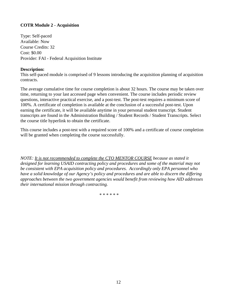# **COTR Module 2 - Acquisition**

Type: Self-paced Available: Now Course Credits: 32 Cost: \$0.00 Provider: FAI - Federal Acquisition Institute

## **Description:**

This self-paced module is comprised of 9 lessons introducing the acquisition planning of acquisition contracts.

The average cumulative time for course completion is about 32 hours. The course may be taken over time, returning to your last accessed page when convenient. The course includes periodic review questions, interactive practical exercise, and a post-test. The post-test requires a minimum score of 100%. A certificate of completion is available at the conclusion of a successful post-test. Upon earning the certificate, it will be available anytime in your personal student transcript. Student transcripts are found in the Administration Building / Student Records / Student Transcripts. Select the course title hyperlink to obtain the certificate.

This course includes a post-test with a required score of 100% and a certificate of course completion will be granted when completing the course successfully.

*NOTE: It is not recommended to complete the CTO MENTOR COURSE because as stated it designed for learning USAID contracting policy and procedures and some of the material may not be consistent with EPA acquisition policy and procedures. Accordingly only EPA personnel who have a solid knowledge of our Agency's policy and procedures and are able to discern the differing approaches between the two government agencies would benefit from reviewing how AID addresses their international mission through contracting.*

\* \* \* \* \* \*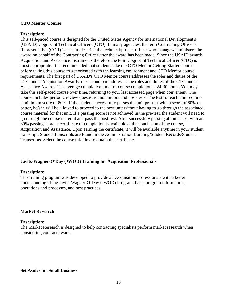## **CTO Mentor Course**

#### **Description:**

This self-paced course is designed for the United States Agency for International Development's (USAID) Cognizant Technical Officers (CTO). In many agencies, the term Contracting Officer's Representative (COR) is used to describe the technical/project officer who manages/administers the award on behalf of the Contracting Officer after the award has been made. Since the USAID awards Acquisition and Assistance Instruments therefore the term Cognizant Technical Officer (CTO) is most appropriate. It is recommended that students take the CTO Mentor Getting Started course before taking this course to get oriented with the learning environment and CTO Mentor course requirements. The first part of USAID's CTO Mentor course addresses the roles and duties of the CTO under Acquisition Awards; the second part addresses the roles and duties of the CTO under Assistance Awards. The average cumulative time for course completion is 24-30 hours. You may take this self-paced course over time, returning to your last accessed page when convenient. The course includes periodic review questions and unit pre and post-tests. The test for each unit requires a minimum score of 80%. If the student successfully passes the unit pre-test with a score of 80% or better, he/she will be allowed to proceed to the next unit without having to go through the associated course material for that unit. If a passing score is not achieved in the pre-test, the student will need to go through the course material and pass the post-test. After successfuly passing all units' test with an 80% passing score, a certificate of completion is available at the conclusion of the course, Acquisition and Assistance. Upon earning the certificate, it will be available anytime in your student transcript. Student transcripts are found in the Administration Building/Student Records/Student Transcripts. Select the course title link to obtain the certificate.

#### **Javits-Wagner-O'Day (JWOD) Training for Acquisition Professionals**

#### **Description:**

This training program was developed to provide all Acquisition professionals with a better understanding of the Javits-Wagner-O'Day (JWOD) Program: basic program information, operations and processes, and best practices.

#### **Market Research**

#### **Description:**

The Market Research is designed to help contracting specialists perform market research when considering contract award.

#### **Set Asides for Small Business**